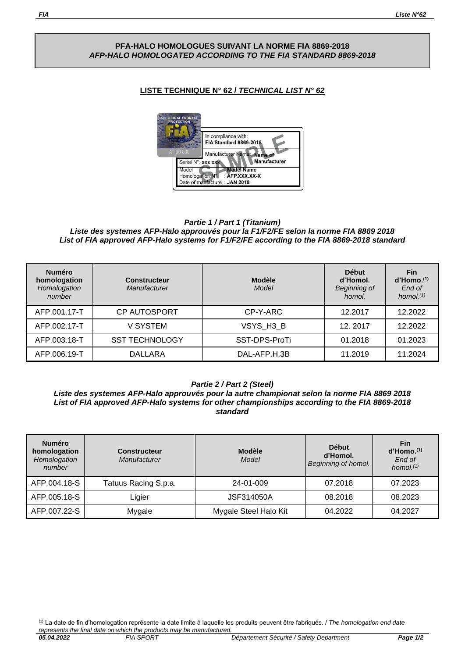### **PFA-HALO HOMOLOGUES SUIVANT LA NORME FIA 8869-2018** *AFP-HALO HOMOLOGATED ACCORDING TO THE FIA STANDARD 8869-2018*

# **LISTE TECHNIQUE N° 62 /** *TECHNICAL LIST N° 62*



#### *Partie 1 / Part 1 (Titanium) Liste des systemes AFP-Halo approuvés pour la F1/F2/FE selon la norme FIA 8869 2018 List of FIA approved AFP-Halo systems for F1/F2/FE according to the FIA 8869-2018 standard*

| <b>Numéro</b><br>homologation<br>Homologation<br>number | <b>Constructeur</b><br><b>Manufacturer</b> | <b>Modèle</b><br>Model | <b>Début</b><br>d'Homol.<br><b>Beginning of</b><br>homol. | <b>Fin</b><br>$d'$ Homo. $(1)$<br>End of<br>homol. $(1)$ |
|---------------------------------------------------------|--------------------------------------------|------------------------|-----------------------------------------------------------|----------------------------------------------------------|
| AFP.001.17-T                                            | <b>CP AUTOSPORT</b>                        | CP-Y-ARC               | 12.2017                                                   | 12.2022                                                  |
| AFP.002.17-T                                            | V SYSTEM                                   | VSYS H3 B              | 12.2017                                                   | 12.2022                                                  |
| AFP.003.18-T                                            | <b>SST TECHNOLOGY</b>                      | SST-DPS-ProTi          | 01.2018                                                   | 01.2023                                                  |
| AFP.006.19-T                                            | DALLARA                                    | DAL-AFP.H.3B           | 11.2019                                                   | 11.2024                                                  |

### *Partie 2 / Part 2 (Steel)*

*Liste des systemes AFP-Halo approuvés pour la autre championat selon la norme FIA 8869 2018 List of FIA approved AFP-Halo systems for other championships according to the FIA 8869-2018 standard*

| <b>Numéro</b><br>homologation<br>Homologation<br>number | <b>Constructeur</b><br>Manufacturer | <b>Modèle</b><br>Model | <b>Début</b><br>d'Homol.<br>Beginning of homol. | <b>Fin</b><br>$d'$ Homo. $(1)$<br>End of<br>homol. $(1)$ |
|---------------------------------------------------------|-------------------------------------|------------------------|-------------------------------------------------|----------------------------------------------------------|
| AFP.004.18-S                                            | Tatuus Racing S.p.a.                | 24-01-009              | 07.2018                                         | 07.2023                                                  |
| AFP.005.18-S                                            | Ligier                              | JSF314050A             | 08.2018                                         | 08.2023                                                  |
| AFP.007.22-S                                            | Mygale                              | Mygale Steel Halo Kit  | 04.2022                                         | 04.2027                                                  |

(1) La date de fin d'homologation représente la date limite à laquelle les produits peuvent être fabriqués. / *The homologation end date represents the final date on which the products may be manufactured.*